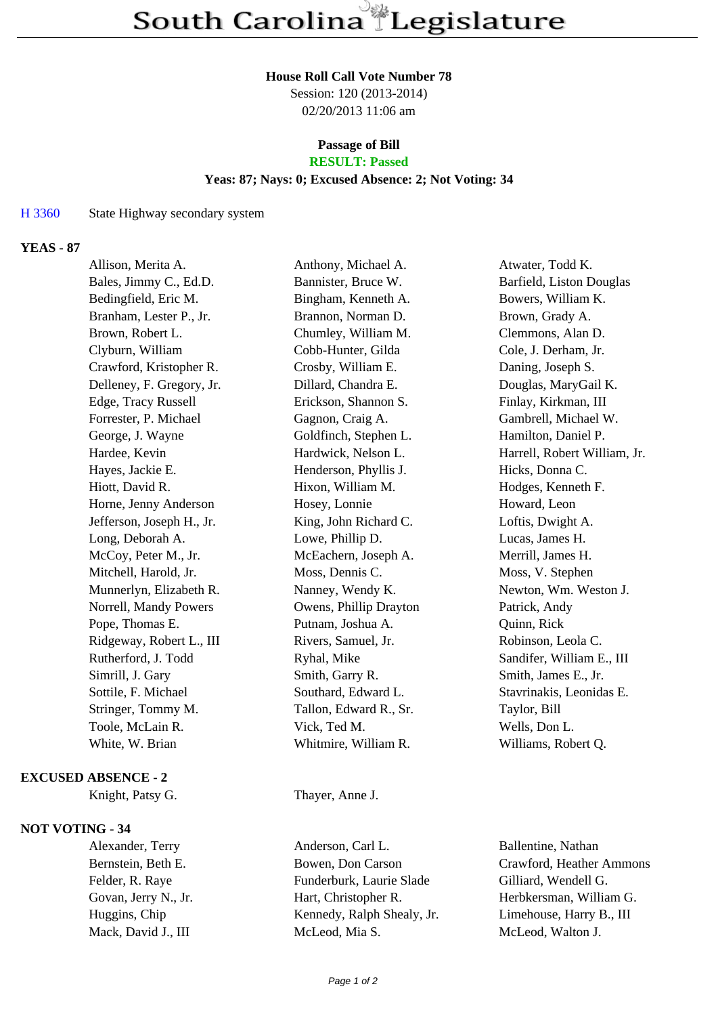#### **House Roll Call Vote Number 78**

Session: 120 (2013-2014) 02/20/2013 11:06 am

### **Passage of Bill RESULT: Passed**

# **Yeas: 87; Nays: 0; Excused Absence: 2; Not Voting: 34**

#### H 3360 State Highway secondary system

# **YEAS - 87**

| Allison, Merita A.        | Anthony, Michael A.    | Atwater, Todd K.             |
|---------------------------|------------------------|------------------------------|
| Bales, Jimmy C., Ed.D.    | Bannister, Bruce W.    | Barfield, Liston Douglas     |
| Bedingfield, Eric M.      | Bingham, Kenneth A.    | Bowers, William K.           |
| Branham, Lester P., Jr.   | Brannon, Norman D.     | Brown, Grady A.              |
| Brown, Robert L.          | Chumley, William M.    | Clemmons, Alan D.            |
| Clyburn, William          | Cobb-Hunter, Gilda     | Cole, J. Derham, Jr.         |
| Crawford, Kristopher R.   | Crosby, William E.     | Daning, Joseph S.            |
| Delleney, F. Gregory, Jr. | Dillard, Chandra E.    | Douglas, MaryGail K.         |
| Edge, Tracy Russell       | Erickson, Shannon S.   | Finlay, Kirkman, III         |
| Forrester, P. Michael     | Gagnon, Craig A.       | Gambrell, Michael W.         |
| George, J. Wayne          | Goldfinch, Stephen L.  | Hamilton, Daniel P.          |
| Hardee, Kevin             | Hardwick, Nelson L.    | Harrell, Robert William, Jr. |
| Hayes, Jackie E.          | Henderson, Phyllis J.  | Hicks, Donna C.              |
| Hiott, David R.           | Hixon, William M.      | Hodges, Kenneth F.           |
| Horne, Jenny Anderson     | Hosey, Lonnie          | Howard, Leon                 |
| Jefferson, Joseph H., Jr. | King, John Richard C.  | Loftis, Dwight A.            |
| Long, Deborah A.          | Lowe, Phillip D.       | Lucas, James H.              |
| McCoy, Peter M., Jr.      | McEachern, Joseph A.   | Merrill, James H.            |
| Mitchell, Harold, Jr.     | Moss, Dennis C.        | Moss, V. Stephen             |
| Munnerlyn, Elizabeth R.   | Nanney, Wendy K.       | Newton, Wm. Weston J.        |
| Norrell, Mandy Powers     | Owens, Phillip Drayton | Patrick, Andy                |
| Pope, Thomas E.           | Putnam, Joshua A.      | Quinn, Rick                  |
| Ridgeway, Robert L., III  | Rivers, Samuel, Jr.    | Robinson, Leola C.           |
| Rutherford, J. Todd       | Ryhal, Mike            | Sandifer, William E., III    |
| Simrill, J. Gary          | Smith, Garry R.        | Smith, James E., Jr.         |
| Sottile, F. Michael       | Southard, Edward L.    | Stavrinakis, Leonidas E.     |
| Stringer, Tommy M.        | Tallon, Edward R., Sr. | Taylor, Bill                 |
| Toole, McLain R.          | Vick, Ted M.           | Wells, Don L.                |
| White, W. Brian           | Whitmire, William R.   | Williams, Robert Q.          |
|                           |                        |                              |

## **EXCUSED ABSENCE - 2**

## **NOT VOTING - 34**

Knight, Patsy G. Thayer, Anne J.

Alexander, Terry Anderson, Carl L. Ballentine, Nathan Bernstein, Beth E. Bowen, Don Carson Crawford, Heather Ammons Felder, R. Raye Funderburk, Laurie Slade Gilliard, Wendell G. Govan, Jerry N., Jr. Hart, Christopher R. Herbkersman, Willia Govan, Jerry N., Jr. Hart, Christopher R. Herbkersman, William G. Huggins, Chip Kennedy, Ralph Shealy, Jr. Limehouse, Harry B., III Mack, David J., III McLeod, Mia S. McLeod, Walton J.